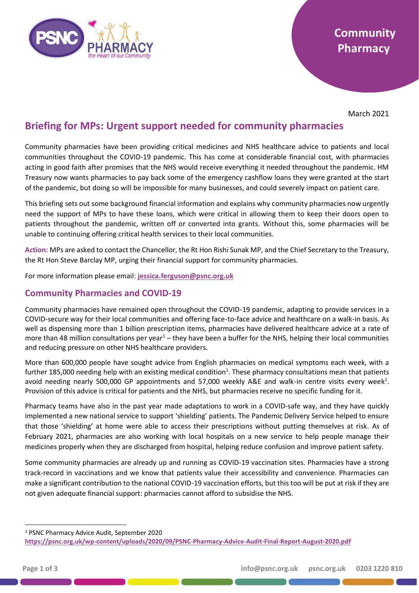

March 2021

# **Briefing for MPs: Urgent support needed for community pharmacies**

Community pharmacies have been providing critical medicines and NHS healthcare advice to patients and local communities throughout the COVID-19 pandemic. This has come at considerable financial cost, with pharmacies acting in good faith after promises that the NHS would receive everything it needed throughout the pandemic. HM Treasury now wants pharmacies to pay back some of the emergency cashflow loans they were granted at the start of the pandemic, but doing so will be impossible for many businesses, and could severely impact on patient care.

This briefing sets out some background financial information and explains why community pharmacies now urgently need the support of MPs to have these loans, which were critical in allowing them to keep their doors open to patients throughout the pandemic, written off or converted into grants. Without this, some pharmacies will be unable to continuing offering critical health services to their local communities.

**Action:** MPs are asked to contact the Chancellor, the Rt Hon Rishi Sunak MP, and the Chief Secretary to the Treasury, the Rt Hon Steve Barclay MP, urging their financial support for community pharmacies.

For more information please email: **[jessica.ferguson@psnc.org.uk](mailto:jessica.ferguson@psnc.org.uk)**

### **Community Pharmacies and COVID-19**

Community pharmacies have remained open throughout the COVID-19 pandemic, adapting to provide services in a COVID-secure way for their local communities and offering face-to-face advice and healthcare on a walk-in basis. As well as dispensing more than 1 billion prescription items, pharmacies have delivered healthcare advice at a rate of more than 48 million consultations per year<sup>1</sup> – they have been a buffer for the NHS, helping their local communities and reducing pressure on other NHS healthcare providers.

More than 600,000 people have sought advice from English pharmacies on medical symptoms each week, with a further 185,000 needing help with an existing medical condition<sup>1</sup>. These pharmacy consultations mean that patients avoid needing nearly 500,000 GP appointments and 57,000 weekly A&E and walk-in centre visits every week<sup>1</sup>. Provision of this advice is critical for patients and the NHS, but pharmacies receive no specific funding for it.

Pharmacy teams have also in the past year made adaptations to work in a COVID-safe way, and they have quickly implemented a new national service to support 'shielding' patients. The Pandemic Delivery Service helped to ensure that those 'shielding' at home were able to access their prescriptions without putting themselves at risk. As of February 2021, pharmacies are also working with local hospitals on a new service to help people manage their medicines properly when they are discharged from hospital, helping reduce confusion and improve patient safety.

Some community pharmacies are already up and running as COVID-19 vaccination sites. Pharmacies have a strong track-record in vaccinations and we know that patients value their accessibility and convenience. Pharmacies can make a significant contribution to the national COVID-19 vaccination efforts, but this too will be put at risk if they are not given adequate financial support: pharmacies cannot afford to subsidise the NHS.

<sup>1</sup> PSNC Pharmacy Advice Audit, September 2020

**<https://psnc.org.uk/wp-content/uploads/2020/09/PSNC-Pharmacy-Advice-Audit-Final-Report-August-2020.pdf>**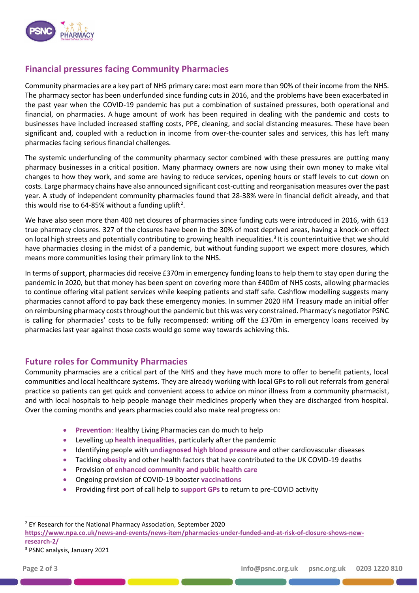

## **Financial pressures facing Community Pharmacies**

Community pharmacies are a key part of NHS primary care: most earn more than 90% of their income from the NHS. The pharmacy sector has been underfunded since funding cuts in 2016, and the problems have been exacerbated in the past year when the COVID-19 pandemic has put a combination of sustained pressures, both operational and financial, on pharmacies. A huge amount of work has been required in dealing with the pandemic and costs to businesses have included increased staffing costs, PPE, cleaning, and social distancing measures. These have been significant and, coupled with a reduction in income from over-the-counter sales and services, this has left many pharmacies facing serious financial challenges.

The systemic underfunding of the community pharmacy sector combined with these pressures are putting many pharmacy businesses in a critical position. Many pharmacy owners are now using their own money to make vital changes to how they work, and some are having to reduce services, opening hours or staff levels to cut down on costs. Large pharmacy chains have also announced significant cost-cutting and reorganisation measures over the past year. A study of independent community pharmacies found that 28-38% were in financial deficit already, and that this would rise to 64-85% without a funding uplift<sup>2</sup>.

We have also seen more than 400 net closures of pharmacies since funding cuts were introduced in 2016, with 613 true pharmacy closures. 327 of the closures have been in the 30% of most deprived areas, having a knock-on effect on local high streets and potentially contributing to growing health inequalities.<sup>3</sup> It is counterintuitive that we should have pharmacies closing in the midst of a pandemic, but without funding support we expect more closures, which means more communities losing their primary link to the NHS.

In terms of support, pharmacies did receive £370m in emergency funding loans to help them to stay open during the pandemic in 2020, but that money has been spent on covering more than £400m of NHS costs, allowing pharmacies to continue offering vital patient services while keeping patients and staff safe. Cashflow modelling suggests many pharmacies cannot afford to pay back these emergency monies. In summer 2020 HM Treasury made an initial offer on reimbursing pharmacy costs throughout the pandemic but this was very constrained. Pharmacy's negotiator PSNC is calling for pharmacies' costs to be fully recompensed: writing off the £370m in emergency loans received by pharmacies last year against those costs would go some way towards achieving this.

#### **Future roles for Community Pharmacies**

Community pharmacies are a critical part of the NHS and they have much more to offer to benefit patients, local communities and local healthcare systems. They are already working with local GPs to roll out referrals from general practice so patients can get quick and convenient access to advice on minor illness from a community pharmacist, and with local hospitals to help people manage their medicines properly when they are discharged from hospital. Over the coming months and years pharmacies could also make real progress on:

- **Prevention**: Healthy Living Pharmacies can do much to help
- Levelling up **health inequalities**, particularly after the pandemic
- Identifying people with **undiagnosed high blood pressure** and other cardiovascular diseases
- Tackling **obesity** and other health factors that have contributed to the UK COVID-19 deaths
- Provision of **enhanced community and public health care**
- Ongoing provision of COVID-19 booster **vaccinations**
- Providing first port of call help to **support GPs** to return to pre-COVID activity

<sup>3</sup> PSNC analysis, January 2021

<sup>2</sup> EY Research for the National Pharmacy Association, September 2020

**[https://www.npa.co.uk/news-and-events/news-item/pharmacies-under-funded-and-at-risk-of-closure-shows-new](https://www.npa.co.uk/news-and-events/news-item/pharmacies-under-funded-and-at-risk-of-closure-shows-new-research-2/)[research-2/](https://www.npa.co.uk/news-and-events/news-item/pharmacies-under-funded-and-at-risk-of-closure-shows-new-research-2/)**